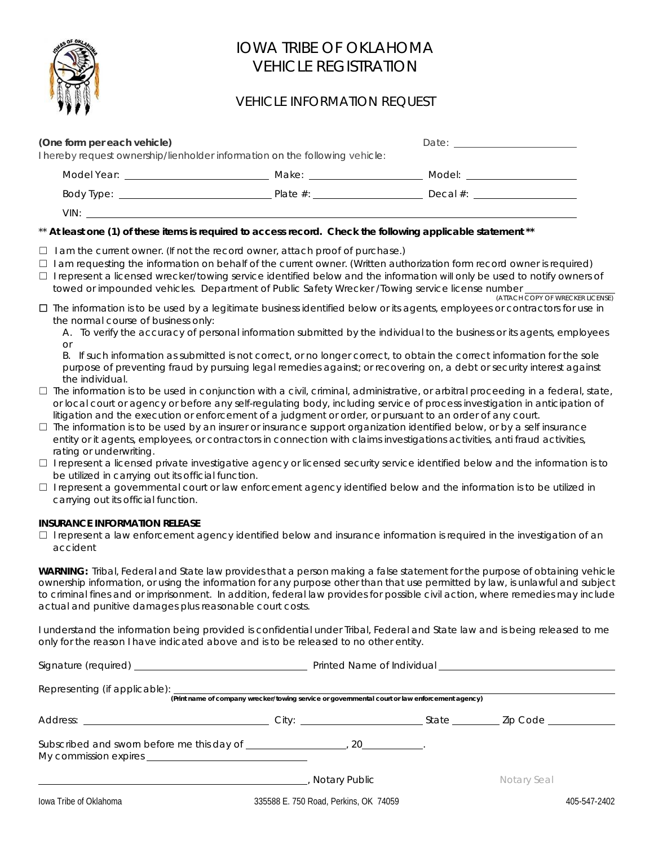

## IOWA TRIBE OF OKLAHOMA VEHICLE REGISTRATION

### VEHICLE INFORMATION REQUEST

| (One form per each vehicle)<br>I hereby request ownership/lienholder information on the following vehicle:                                                                                                                           |                         |                                                                                                                                                                                                                                     |  |  |  |
|--------------------------------------------------------------------------------------------------------------------------------------------------------------------------------------------------------------------------------------|-------------------------|-------------------------------------------------------------------------------------------------------------------------------------------------------------------------------------------------------------------------------------|--|--|--|
| Model Year: The Contract of the Contract of the Contract of the Contract of the Contract of the Contract of the                                                                                                                      | Make: _________________ | Model: <b>Model</b> Service and Service and Service and Service and Service and Service and Service and Service and Service and Service and Service and Service and Service and Service and Service and Service and Service and Ser |  |  |  |
|                                                                                                                                                                                                                                      | Plate $#$ :             | Decal $\#$ : $\qquad \qquad \qquad$                                                                                                                                                                                                 |  |  |  |
| VIN: <u>In the second that the second the second that the second the second the second the second the second the second the second the second the second the second the second the second the second the second the second the s</u> |                         |                                                                                                                                                                                                                                     |  |  |  |

### \*\* **At least one (1) of these items is required to access record. Check the following applicable statement \*\***

- $\Box$  I am the current owner. (If not the record owner, attach proof of purchase.)
- ☐ I am requesting the information on behalf of the current owner. (Written authorization form record owner is required)
- ☐ I represent a licensed wrecker/towing service identified below and the information will only be used to notify owners of towed or impounded vehicles. Department of Public Safety Wrecker /Towing service license number (ATTACH COPY OF WRECKER LICENSE)
- ☐ The information is to be used by a legitimate business identified below or its agents, employees or contractors for use in the normal course of business only:
	- A. To verify the accuracy of personal information submitted by the individual to the business or its agents, employees  $\cap$ r

| B. If such information as submitted is not correct, or no longer correct, to obtain the correct information for the sole |
|--------------------------------------------------------------------------------------------------------------------------|
| purpose of preventing fraud by pursuing legal remedies against; or recovering on, a debt or security interest against    |
| the individual.                                                                                                          |

- $\Box$  The information is to be used in conjunction with a civil, criminal, administrative, or arbitral proceeding in a federal, state, or local court or agency or before any self-regulating body, including service of process investigation in anticipation of litigation and the execution or enforcement of a judgment or order, or pursuant to an order of any court.
- $\Box$  The information is to be used by an insurer or insurance support organization identified below, or by a self insurance entity or it agents, employees, or contractors in connection with claims investigations activities, anti fraud activities, rating or underwriting.
- □ I represent a licensed private investigative agency or licensed security service identified below and the information is to be utilized in carrying out its official function.
- □ I represent a governmental court or law enforcement agency identified below and the information is to be utilized in carrying out its official function.

### **INSURANCE INFORMATION RELEASE**

 $\Box$  I represent a law enforcement agency identified below and insurance information is required in the investigation of an accident

**WARNING:** Tribal, Federal and State law provides that a person making a false statement for the purpose of obtaining vehicle ownership information, or using the information for any purpose other than that use permitted by law, is unlawful and subject to criminal fines and or imprisonment. In addition, federal law provides for possible civil action, where remedies may include actual and punitive damages plus reasonable court costs.

I understand the information being provided is confidential under Tribal, Federal and State law and is being released to me only for the reason I have indicated above and is to be released to no other entity.

|                        | (Print name of company wrecker/towing service or governmental court or law enforcement agency) |  |              |  |
|------------------------|------------------------------------------------------------------------------------------------|--|--------------|--|
|                        |                                                                                                |  |              |  |
|                        |                                                                                                |  |              |  |
|                        | Notary Public                                                                                  |  | Notary Seal  |  |
| lowa Tribe of Oklahoma | 335588 E. 750 Road, Perkins, OK 74059                                                          |  | 405-547-2402 |  |